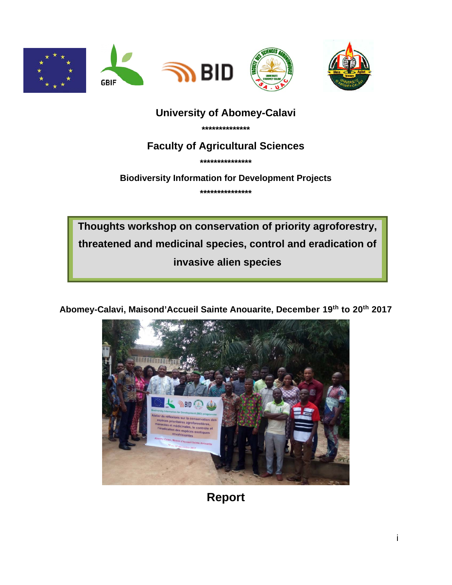

## **University of Abomey-Calavi**

\*\*\*\*\*\*\*\*\*\*\*\*\*\*

### **Faculty of Agricultural Sciences**

\*\*\*\*\*\*\*\*\*\*\*\*\*\*\*

**Biodiversity Information for Development Projects** 

\*\*\*\*\*\*\*\*\*\*\*\*\*\*\*

Thoughts workshop on conservation of priority agroforestry, threatened and medicinal species, control and eradication of invasive alien species

Abomey-Calavi, Maisond'Accueil Sainte Anouarite, December 19th to 20th 2017



**Report**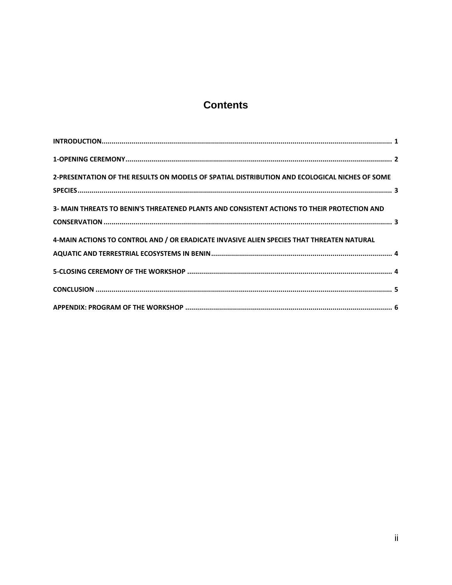# **Contents**

| 2-PRESENTATION OF THE RESULTS ON MODELS OF SPATIAL DISTRIBUTION AND ECOLOGICAL NICHES OF SOME |  |
|-----------------------------------------------------------------------------------------------|--|
| 3- MAIN THREATS TO BENIN'S THREATENED PLANTS AND CONSISTENT ACTIONS TO THEIR PROTECTION AND   |  |
| 4-MAIN ACTIONS TO CONTROL AND / OR ERADICATE INVASIVE ALIEN SPECIES THAT THREATEN NATURAL     |  |
|                                                                                               |  |
|                                                                                               |  |
|                                                                                               |  |
|                                                                                               |  |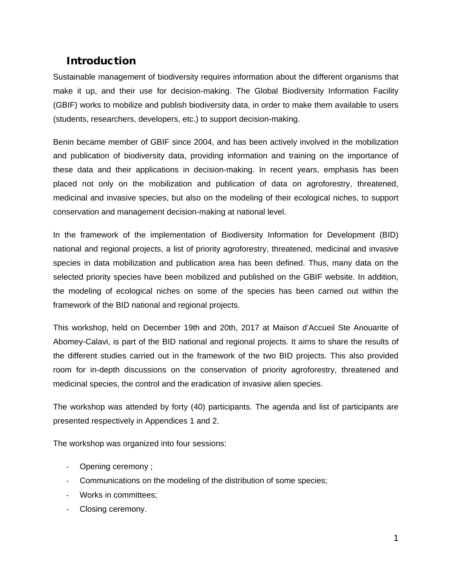### <span id="page-2-0"></span>Introduction

Sustainable management of biodiversity requires information about the different organisms that make it up, and their use for decision-making. The Global Biodiversity Information Facility (GBIF) works to mobilize and publish biodiversity data, in order to make them available to users (students, researchers, developers, etc.) to support decision-making.

Benin became member of GBIF since 2004, and has been actively involved in the mobilization and publication of biodiversity data, providing information and training on the importance of these data and their applications in decision-making. In recent years, emphasis has been placed not only on the mobilization and publication of data on agroforestry, threatened, medicinal and invasive species, but also on the modeling of their ecological niches, to support conservation and management decision-making at national level.

In the framework of the implementation of Biodiversity Information for Development (BID) national and regional projects, a list of priority agroforestry, threatened, medicinal and invasive species in data mobilization and publication area has been defined. Thus, many data on the selected priority species have been mobilized and published on the GBIF website. In addition, the modeling of ecological niches on some of the species has been carried out within the framework of the BID national and regional projects.

This workshop, held on December 19th and 20th, 2017 at Maison d'Accueil Ste Anouarite of Abomey-Calavi, is part of the BID national and regional projects. It aims to share the results of the different studies carried out in the framework of the two BID projects. This also provided room for in-depth discussions on the conservation of priority agroforestry, threatened and medicinal species, the control and the eradication of invasive alien species.

The workshop was attended by forty (40) participants. The agenda and list of participants are presented respectively in Appendices 1 and 2.

The workshop was organized into four sessions:

- Opening ceremony ;
- Communications on the modeling of the distribution of some species;
- Works in committees;
- Closing ceremony.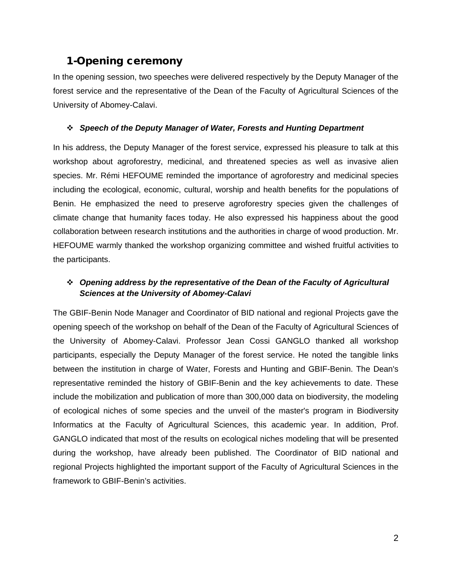### <span id="page-3-0"></span>1-Opening ceremony

In the opening session, two speeches were delivered respectively by the Deputy Manager of the forest service and the representative of the Dean of the Faculty of Agricultural Sciences of the University of Abomey-Calavi.

#### *Speech of the Deputy Manager of Water, Forests and Hunting Department*

In his address, the Deputy Manager of the forest service, expressed his pleasure to talk at this workshop about agroforestry, medicinal, and threatened species as well as invasive alien species. Mr. Rémi HEFOUME reminded the importance of agroforestry and medicinal species including the ecological, economic, cultural, worship and health benefits for the populations of Benin. He emphasized the need to preserve agroforestry species given the challenges of climate change that humanity faces today. He also expressed his happiness about the good collaboration between research institutions and the authorities in charge of wood production. Mr. HEFOUME warmly thanked the workshop organizing committee and wished fruitful activities to the participants.

#### *Opening address by the representative of the Dean of the Faculty of Agricultural Sciences at the University of Abomey-Calavi*

The GBIF-Benin Node Manager and Coordinator of BID national and regional Projects gave the opening speech of the workshop on behalf of the Dean of the Faculty of Agricultural Sciences of the University of Abomey-Calavi. Professor Jean Cossi GANGLO thanked all workshop participants, especially the Deputy Manager of the forest service. He noted the tangible links between the institution in charge of Water, Forests and Hunting and GBIF-Benin. The Dean's representative reminded the history of GBIF-Benin and the key achievements to date. These include the mobilization and publication of more than 300,000 data on biodiversity, the modeling of ecological niches of some species and the unveil of the master's program in Biodiversity Informatics at the Faculty of Agricultural Sciences, this academic year. In addition, Prof. GANGLO indicated that most of the results on ecological niches modeling that will be presented during the workshop, have already been published. The Coordinator of BID national and regional Projects highlighted the important support of the Faculty of Agricultural Sciences in the framework to GBIF-Benin's activities.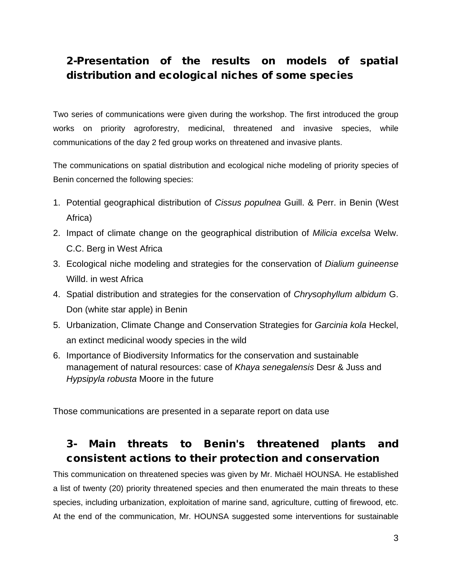# <span id="page-4-0"></span>2-Presentation of the results on models of spatial distribution and ecological niches of some species

Two series of communications were given during the workshop. The first introduced the group works on priority agroforestry, medicinal, threatened and invasive species, while communications of the day 2 fed group works on threatened and invasive plants.

The communications on spatial distribution and ecological niche modeling of priority species of Benin concerned the following species:

- 1. Potential geographical distribution of *Cissus populnea* Guill. & Perr. in Benin (West Africa)
- 2. Impact of climate change on the geographical distribution of *Milicia excelsa* Welw. C.C. Berg in West Africa
- 3. Ecological niche modeling and strategies for the conservation of *Dialium guineense* Willd. in west Africa
- 4. Spatial distribution and strategies for the conservation of *Chrysophyllum albidum* G. Don (white star apple) in Benin
- 5. Urbanization, Climate Change and Conservation Strategies for *Garcinia kola* Heckel, an extinct medicinal woody species in the wild
- 6. Importance of Biodiversity Informatics for the conservation and sustainable management of natural resources: case of *Khaya senegalensis* Desr & Juss and *Hypsipyla robusta* Moore in the future

Those communications are presented in a separate report on data use

### <span id="page-4-1"></span>3- Main threats to Benin's threatened plants and consistent actions to their protection and conservation

This communication on threatened species was given by Mr. Michaël HOUNSA. He established a list of twenty (20) priority threatened species and then enumerated the main threats to these species, including urbanization, exploitation of marine sand, agriculture, cutting of firewood, etc. At the end of the communication, Mr. HOUNSA suggested some interventions for sustainable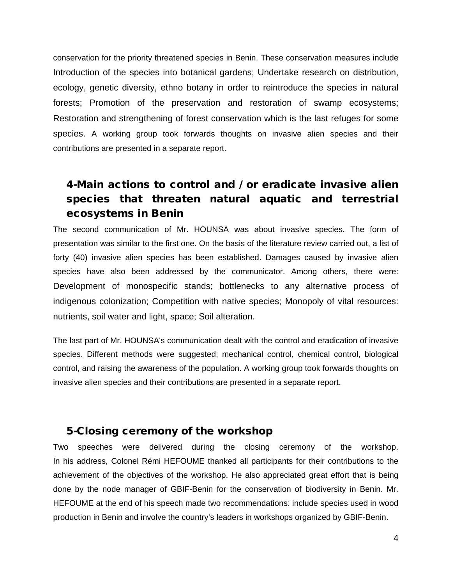conservation for the priority threatened species in Benin. These conservation measures include Introduction of the species into botanical gardens; Undertake research on distribution, ecology, genetic diversity, ethno botany in order to reintroduce the species in natural forests; Promotion of the preservation and restoration of swamp ecosystems; Restoration and strengthening of forest conservation which is the last refuges for some species. A working group took forwards thoughts on invasive alien species and their contributions are presented in a separate report.

# <span id="page-5-0"></span>4-Main actions to control and / or eradicate invasive alien species that threaten natural aquatic and terrestrial ecosystems in Benin

The second communication of Mr. HOUNSA was about invasive species. The form of presentation was similar to the first one. On the basis of the literature review carried out, a list of forty (40) invasive alien species has been established. Damages caused by invasive alien species have also been addressed by the communicator. Among others, there were: Development of monospecific stands; bottlenecks to any alternative process of indigenous colonization; Competition with native species; Monopoly of vital resources: nutrients, soil water and light, space; Soil alteration.

The last part of Mr. HOUNSA's communication dealt with the control and eradication of invasive species. Different methods were suggested: mechanical control, chemical control, biological control, and raising the awareness of the population. A working group took forwards thoughts on invasive alien species and their contributions are presented in a separate report.

### <span id="page-5-1"></span>5-Closing ceremony of the workshop

Two speeches were delivered during the closing ceremony of the workshop. In his address, Colonel Rémi HEFOUME thanked all participants for their contributions to the achievement of the objectives of the workshop. He also appreciated great effort that is being done by the node manager of GBIF-Benin for the conservation of biodiversity in Benin. Mr. HEFOUME at the end of his speech made two recommendations: include species used in wood production in Benin and involve the country's leaders in workshops organized by GBIF-Benin.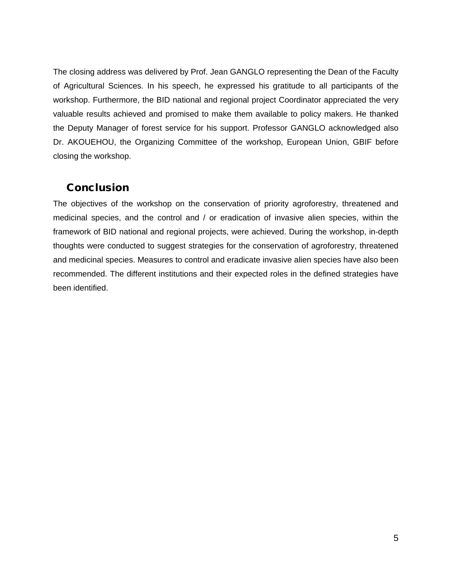The closing address was delivered by Prof. Jean GANGLO representing the Dean of the Faculty of Agricultural Sciences. In his speech, he expressed his gratitude to all participants of the workshop. Furthermore, the BID national and regional project Coordinator appreciated the very valuable results achieved and promised to make them available to policy makers. He thanked the Deputy Manager of forest service for his support. Professor GANGLO acknowledged also Dr. AKOUEHOU, the Organizing Committee of the workshop, European Union, GBIF before closing the workshop.

#### <span id="page-6-0"></span>Conclusion

The objectives of the workshop on the conservation of priority agroforestry, threatened and medicinal species, and the control and / or eradication of invasive alien species, within the framework of BID national and regional projects, were achieved. During the workshop, in-depth thoughts were conducted to suggest strategies for the conservation of agroforestry, threatened and medicinal species. Measures to control and eradicate invasive alien species have also been recommended. The different institutions and their expected roles in the defined strategies have been identified.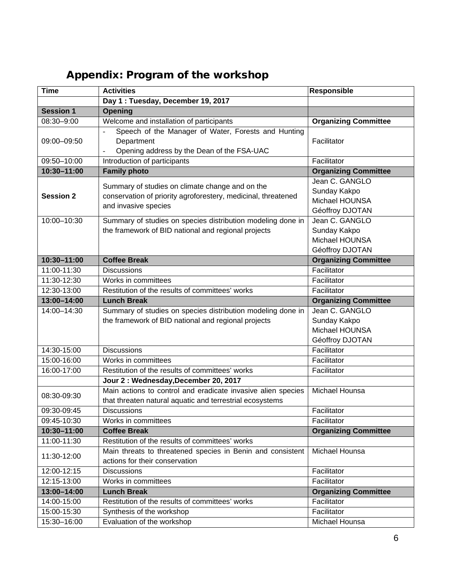| <b>Time</b>      | <b>Activities</b>                                                                                                                        | <b>Responsible</b>                                                  |
|------------------|------------------------------------------------------------------------------------------------------------------------------------------|---------------------------------------------------------------------|
|                  | Day 1: Tuesday, December 19, 2017                                                                                                        |                                                                     |
| <b>Session 1</b> | Opening                                                                                                                                  |                                                                     |
| 08:30-9:00       | Welcome and installation of participants                                                                                                 | <b>Organizing Committee</b>                                         |
| 09:00-09:50      | Speech of the Manager of Water, Forests and Hunting<br>$\overline{a}$<br>Department<br>Opening address by the Dean of the FSA-UAC        | Facilitator                                                         |
| 09:50-10:00      | Introduction of participants                                                                                                             | Facilitator                                                         |
| 10:30-11:00      | <b>Family photo</b>                                                                                                                      | <b>Organizing Committee</b>                                         |
| <b>Session 2</b> | Summary of studies on climate change and on the<br>conservation of priority agroforestery, medicinal, threatened<br>and invasive species | Jean C. GANGLO<br>Sunday Kakpo<br>Michael HOUNSA<br>Géoffroy DJOTAN |
| 10:00-10:30      | Summary of studies on species distribution modeling done in<br>the framework of BID national and regional projects                       | Jean C. GANGLO<br>Sunday Kakpo<br>Michael HOUNSA<br>Géoffroy DJOTAN |
| 10:30-11:00      | <b>Coffee Break</b>                                                                                                                      | <b>Organizing Committee</b>                                         |
| 11:00-11:30      | <b>Discussions</b>                                                                                                                       | Facilitator                                                         |
| 11:30-12:30      | Works in committees                                                                                                                      | Facilitator                                                         |
| 12:30-13:00      | Restitution of the results of committees' works                                                                                          | Facilitator                                                         |
| 13:00-14:00      | <b>Lunch Break</b>                                                                                                                       | <b>Organizing Committee</b>                                         |
| 14:00-14:30      | Summary of studies on species distribution modeling done in<br>the framework of BID national and regional projects                       | Jean C. GANGLO<br>Sunday Kakpo<br>Michael HOUNSA<br>Géoffroy DJOTAN |
| 14:30-15:00      | <b>Discussions</b>                                                                                                                       | Facilitator                                                         |
| 15:00-16:00      | Works in committees                                                                                                                      | Facilitator                                                         |
| 16:00-17:00      | Restitution of the results of committees' works                                                                                          | Facilitator                                                         |
|                  | Jour 2: Wednesday, December 20, 2017                                                                                                     |                                                                     |
| 08:30-09:30      | Main actions to control and eradicate invasive alien species<br>that threaten natural aquatic and terrestrial ecosystems                 | <b>Michael Hounsa</b>                                               |
| 09:30-09:45      | <b>Discussions</b>                                                                                                                       | Facilitator                                                         |
| 09:45-10:30      | Works in committees                                                                                                                      | Facilitator                                                         |
| 10:30-11:00      | <b>Coffee Break</b>                                                                                                                      | <b>Organizing Committee</b>                                         |
| 11:00-11:30      | Restitution of the results of committees' works                                                                                          |                                                                     |
| 11:30-12:00      | Main threats to threatened species in Benin and consistent<br>actions for their conservation                                             | Michael Hounsa                                                      |
| 12:00-12:15      | <b>Discussions</b>                                                                                                                       | Facilitator                                                         |
| 12:15-13:00      | Works in committees                                                                                                                      | Facilitator                                                         |
| 13:00-14:00      | <b>Lunch Break</b>                                                                                                                       | <b>Organizing Committee</b>                                         |
| 14:00-15:00      | Restitution of the results of committees' works                                                                                          | Facilitator                                                         |
| 15:00-15:30      | Synthesis of the workshop                                                                                                                | Facilitator                                                         |
| 15:30-16:00      | Evaluation of the workshop                                                                                                               | Michael Hounsa                                                      |

# <span id="page-7-0"></span>Appendix: Program of the workshop